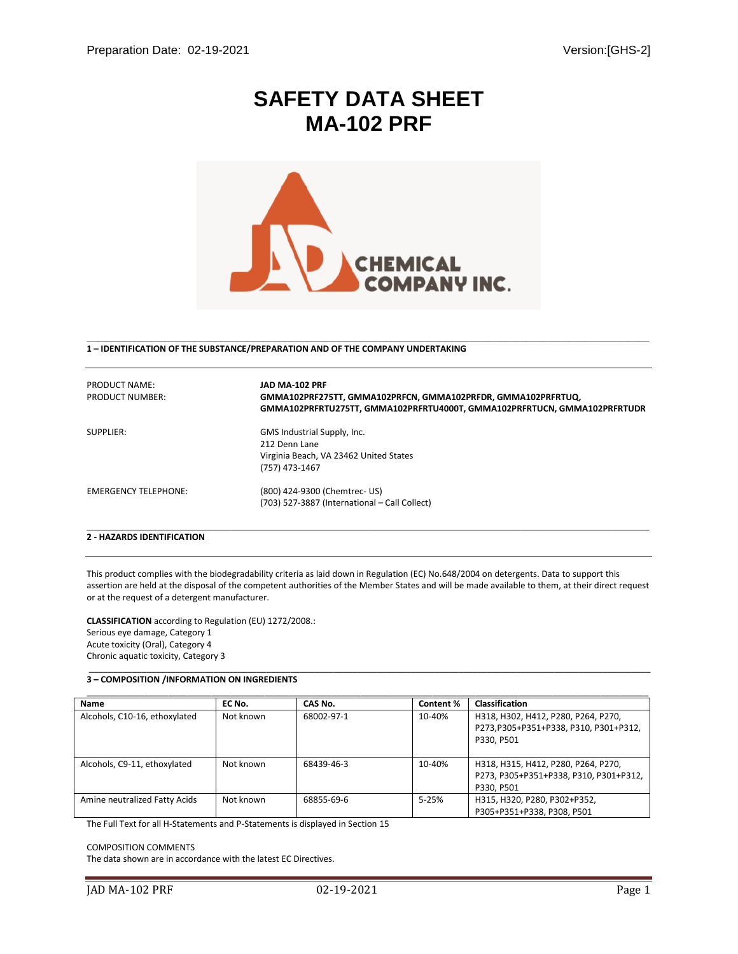# **SAFETY DATA SHEET MA-102 PRF**



 **\_\_\_\_\_\_\_\_\_\_\_\_\_\_\_\_\_\_\_\_\_\_\_\_\_\_\_\_\_\_\_\_\_\_\_\_\_\_\_\_\_\_\_\_\_\_\_\_\_\_\_\_\_\_\_\_\_\_\_\_\_\_\_\_\_\_\_\_\_\_\_\_\_\_\_\_\_\_\_\_\_\_\_\_\_\_\_\_\_\_\_\_\_\_\_\_\_\_\_\_\_\_\_\_\_** 

**1 – IDENTIFICATION OF THE SUBSTANCE/PREPARATION AND OF THE COMPANY UNDERTAKING**

| PRODUCT NAME:<br>PRODUCT NUMBER: | JAD MA-102 PRF<br>GMMA102PRF275TT, GMMA102PRFCN, GMMA102PRFDR, GMMA102PRFRTUQ,<br>GMMA102PRFRTU275TT, GMMA102PRFRTU4000T, GMMA102PRFRTUCN, GMMA102PRFRTUDR |
|----------------------------------|------------------------------------------------------------------------------------------------------------------------------------------------------------|
| SUPPLIER:                        | GMS Industrial Supply, Inc.<br>212 Denn Lane<br>Virginia Beach, VA 23462 United States<br>(757) 473-1467                                                   |
| <b>EMERGENCY TELEPHONE:</b>      | (800) 424-9300 (Chemtrec- US)<br>(703) 527-3887 (International - Call Collect)                                                                             |

# **2 - HAZARDS IDENTIFICATION**

This product complies with the biodegradability criteria as laid down in Regulation (EC) No.648/2004 on detergents. Data to support this assertion are held at the disposal of the competent authorities of the Member States and will be made available to them, at their direct request or at the request of a detergent manufacturer.

\_\_\_\_\_\_\_\_\_\_\_\_\_\_\_\_\_\_\_\_\_\_\_\_\_\_\_\_\_\_\_\_\_\_\_\_\_\_\_\_\_\_\_\_\_\_\_\_\_\_\_\_\_\_\_\_\_\_\_\_\_\_\_\_\_\_\_\_\_\_\_\_\_\_\_\_\_\_\_\_\_\_\_\_\_\_\_\_\_\_\_\_\_\_\_\_\_\_\_\_\_\_\_\_\_\_\_\_\_\_\_\_\_\_\_\_\_

**CLASSIFICATION** according to Regulation (EU) 1272/2008.: Serious eye damage, Category 1 Acute toxicity (Oral), Category 4 Chronic aquatic toxicity, Category 3

## **3 – COMPOSITION /INFORMATION ON INGREDIENTS**

| Name                          | EC No.    | CAS No.    | Content % | <b>Classification</b>                  |
|-------------------------------|-----------|------------|-----------|----------------------------------------|
| Alcohols, C10-16, ethoxylated | Not known | 68002-97-1 | 10-40%    | H318, H302, H412, P280, P264, P270,    |
|                               |           |            |           | P273,P305+P351+P338, P310, P301+P312,  |
|                               |           |            |           | P330. P501                             |
|                               |           |            |           |                                        |
| Alcohols, C9-11, ethoxylated  | Not known | 68439-46-3 | 10-40%    | H318, H315, H412, P280, P264, P270,    |
|                               |           |            |           | P273, P305+P351+P338, P310, P301+P312, |
|                               |           |            |           | P330, P501                             |
| Amine neutralized Fatty Acids | Not known | 68855-69-6 | $5 - 25%$ | H315, H320, P280, P302+P352,           |
|                               |           |            |           | P305+P351+P338, P308, P501             |

The Full Text for all H-Statements and P-Statements is displayed in Section 15

COMPOSITION COMMENTS

The data shown are in accordance with the latest EC Directives.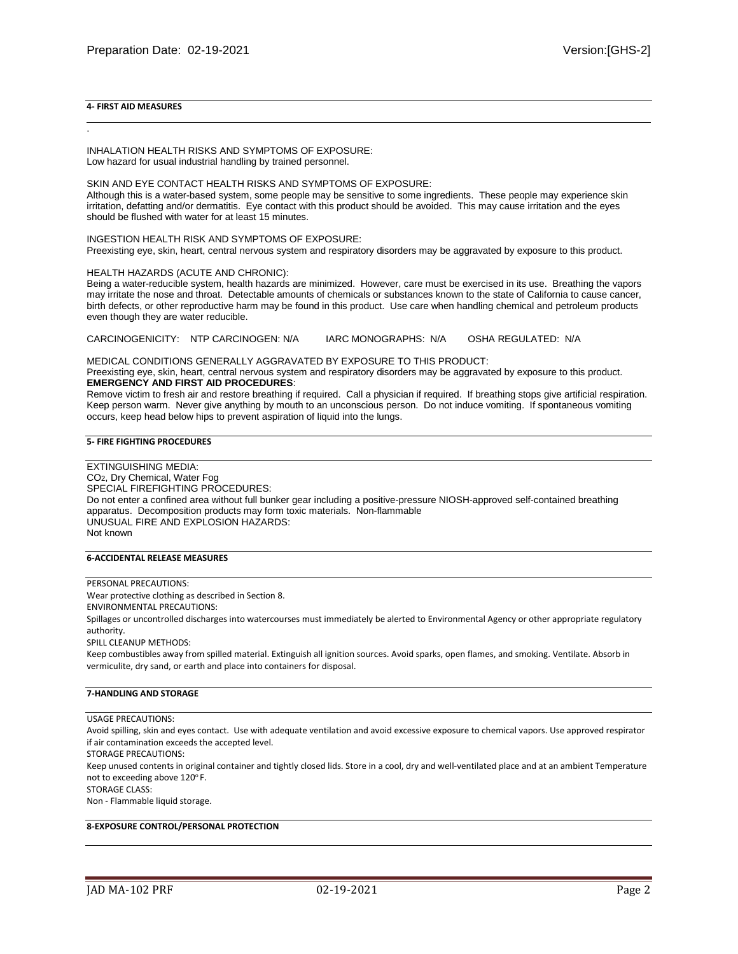## **4- FIRST AID MEASURES**

.

INHALATION HEALTH RISKS AND SYMPTOMS OF EXPOSURE: Low hazard for usual industrial handling by trained personnel.

SKIN AND EYE CONTACT HEALTH RISKS AND SYMPTOMS OF EXPOSURE:

Although this is a water-based system, some people may be sensitive to some ingredients. These people may experience skin irritation, defatting and/or dermatitis. Eye contact with this product should be avoided. This may cause irritation and the eyes should be flushed with water for at least 15 minutes.

INGESTION HEALTH RISK AND SYMPTOMS OF EXPOSURE:

Preexisting eye, skin, heart, central nervous system and respiratory disorders may be aggravated by exposure to this product.

#### HEALTH HAZARDS (ACUTE AND CHRONIC):

Being a water-reducible system, health hazards are minimized. However, care must be exercised in its use. Breathing the vapors may irritate the nose and throat. Detectable amounts of chemicals or substances known to the state of California to cause cancer, birth defects, or other reproductive harm may be found in this product. Use care when handling chemical and petroleum products even though they are water reducible.

CARCINOGENICITY: NTP CARCINOGEN: N/A IARC MONOGRAPHS: N/A OSHA REGULATED: N/A

MEDICAL CONDITIONS GENERALLY AGGRAVATED BY EXPOSURE TO THIS PRODUCT: Preexisting eye, skin, heart, central nervous system and respiratory disorders may be aggravated by exposure to this product. **EMERGENCY AND FIRST AID PROCEDURES**:

Remove victim to fresh air and restore breathing if required. Call a physician if required. If breathing stops give artificial respiration. Keep person warm. Never give anything by mouth to an unconscious person. Do not induce vomiting. If spontaneous vomiting occurs, keep head below hips to prevent aspiration of liquid into the lungs.

#### **5- FIRE FIGHTING PROCEDURES**

EXTINGUISHING MEDIA: CO2, Dry Chemical, Water Fog SPECIAL FIREFIGHTING PROCEDURES: Do not enter a confined area without full bunker gear including a positive-pressure NIOSH-approved self-contained breathing apparatus. Decomposition products may form toxic materials. Non-flammable UNUSUAL FIRE AND EXPLOSION HAZARDS: Not known

# **6-ACCIDENTAL RELEASE MEASURES**

## PERSONAL PRECAUTIONS:

Wear protective clothing as described in Section 8.

ENVIRONMENTAL PRECAUTIONS:

Spillages or uncontrolled discharges into watercourses must immediately be alerted to Environmental Agency or other appropriate regulatory authority.

SPILL CLEANUP METHODS:

Keep combustibles away from spilled material. Extinguish all ignition sources. Avoid sparks, open flames, and smoking. Ventilate. Absorb in vermiculite, dry sand, or earth and place into containers for disposal.

#### **7-HANDLING AND STORAGE**

#### USAGE PRECAUTIONS:

Avoid spilling, skin and eyes contact. Use with adequate ventilation and avoid excessive exposure to chemical vapors. Use approved respirator if air contamination exceeds the accepted level.

STORAGE PRECAUTIONS:

Keep unused contents in original container and tightly closed lids. Store in a cool, dry and well-ventilated place and at an ambient Temperature not to exceeding above 120°F.

STORAGE CLASS:

Non - Flammable liquid storage.

**8-EXPOSURE CONTROL/PERSONAL PROTECTION**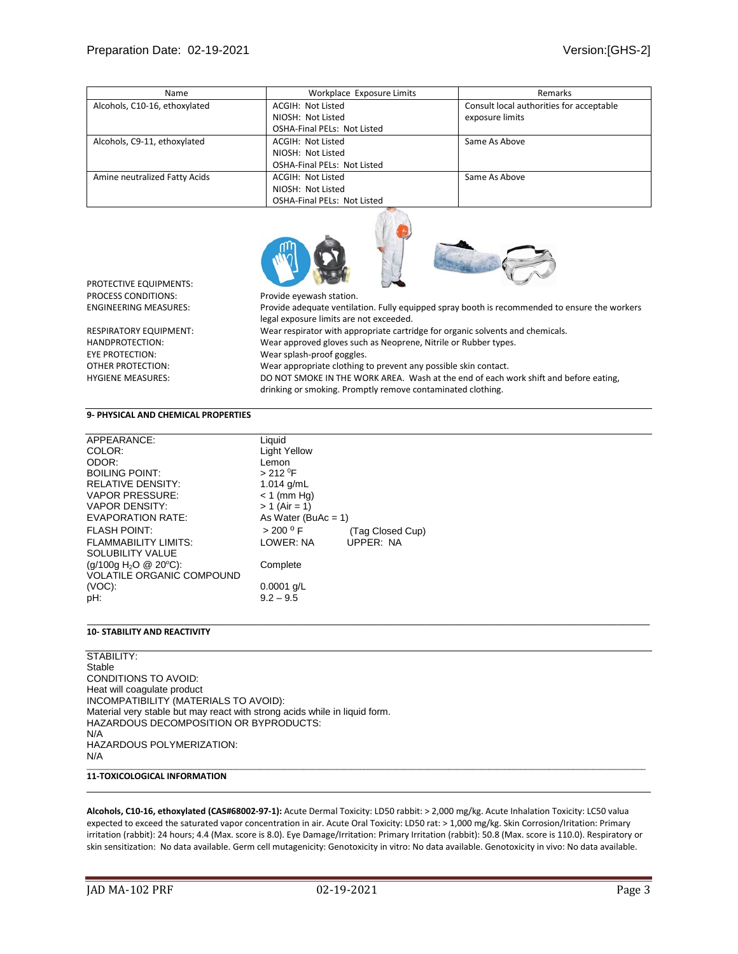| Name                          | Workplace Exposure Limits          | Remarks                                  |
|-------------------------------|------------------------------------|------------------------------------------|
| Alcohols, C10-16, ethoxylated | ACGIH: Not Listed                  | Consult local authorities for acceptable |
|                               | NIOSH: Not Listed                  | exposure limits                          |
|                               | <b>OSHA-Final PELs: Not Listed</b> |                                          |
| Alcohols, C9-11, ethoxylated  | ACGIH: Not Listed                  | Same As Above                            |
|                               | NIOSH: Not Listed                  |                                          |
|                               | <b>OSHA-Final PELs: Not Listed</b> |                                          |
| Amine neutralized Fatty Acids | ACGIH: Not Listed                  | Same As Above                            |
|                               | NIOSH: Not Listed                  |                                          |
|                               | <b>OSHA-Final PELs: Not Listed</b> |                                          |



PROTECTIVE EQUIPMENTS: PROCESS CONDITIONS: Provide eyewash station.

ENGINEERING MEASURES: Provide adequate ventilation. Fully equipped spray booth is recommended to ensure the workers legal exposure limits are not exceeded. RESPIRATORY EQUIPMENT: Wear respirator with appropriate cartridge for organic solvents and chemicals. HANDPROTECTION: Wear approved gloves such as Neoprene, Nitrile or Rubber types. EYE PROTECTION: Wear splash-proof goggles. OTHER PROTECTION: Wear appropriate clothing to prevent any possible skin contact. HYGIENE MEASURES: DO NOT SMOKE IN THE WORK AREA. Wash at the end of each work shift and before eating,

drinking or smoking. Promptly remove contaminated clothing.

## **9- PHYSICAL AND CHEMICAL PROPERTIES**

| APPEARANCE:                       | Liquid                 |                  |
|-----------------------------------|------------------------|------------------|
| COLOR:                            | <b>Light Yellow</b>    |                  |
| ODOR:                             | Lemon                  |                  |
| <b>BOILING POINT:</b>             | $> 212$ <sup>0</sup> F |                  |
| <b>RELATIVE DENSITY:</b>          | 1.014 $q/mL$           |                  |
| <b>VAPOR PRESSURE:</b>            | $< 1$ (mm Hg)          |                  |
| <b>VAPOR DENSITY:</b>             | $> 1$ (Air = 1)        |                  |
| <b>EVAPORATION RATE:</b>          | As Water (BuAc = $1$ ) |                  |
| <b>FLASH POINT:</b>               | > 200 °F               | (Tag Closed Cup) |
| <b>FLAMMABILITY LIMITS:</b>       | LOWER: NA              | <b>UPPER: NA</b> |
| SOLUBILITY VALUE                  |                        |                  |
| (g/100g H <sub>2</sub> O @ 20°C): | Complete               |                  |
| <b>VOLATILE ORGANIC COMPOUND</b>  |                        |                  |
| $(VOC)$ :                         | $0.0001$ g/L           |                  |
| pH:                               |                        |                  |
|                                   | $9.2 - 9.5$            |                  |

### **10- STABILITY AND REACTIVITY**

STABILITY: Stable CONDITIONS TO AVOID: Heat will coagulate product INCOMPATIBILITY (MATERIALS TO AVOID): Material very stable but may react with strong acids while in liquid form. HAZARDOUS DECOMPOSITION OR BYPRODUCTS: N/A HAZARDOUS POLYMERIZATION: N/A \_\_\_\_\_\_\_\_\_\_\_\_\_\_\_\_\_\_\_\_\_\_\_\_\_\_\_\_\_\_\_\_\_\_\_\_\_\_\_\_\_\_\_\_\_\_\_\_\_\_\_\_\_\_\_\_\_\_\_\_\_\_\_\_\_\_\_\_\_\_\_\_\_\_\_\_\_\_\_\_\_\_\_\_\_\_\_\_\_\_\_\_\_\_\_\_\_\_\_\_\_\_\_\_\_\_\_\_\_\_\_\_\_\_\_\_\_\_\_\_\_\_\_\_\_\_\_\_\_\_\_\_\_\_\_\_\_\_\_

## **11-TOXICOLOGICAL INFORMATION**

**Alcohols, C10-16, ethoxylated (CAS#68002-97-1):** Acute Dermal Toxicity: LD50 rabbit: > 2,000 mg/kg. Acute Inhalation Toxicity: LC50 valua expected to exceed the saturated vapor concentration in air. Acute Oral Toxicity: LD50 rat: > 1,000 mg/kg. Skin Corrosion/Iritation: Primary irritation (rabbit): 24 hours; 4.4 (Max. score is 8.0). Eye Damage/Irritation: Primary Irritation (rabbit): 50.8 (Max. score is 110.0). Respiratory or skin sensitization: No data available. Germ cell mutagenicity: Genotoxicity in vitro: No data available. Genotoxicity in vivo: No data available.

\_\_\_\_\_\_\_\_\_\_\_\_\_\_\_\_\_\_\_\_\_\_\_\_\_\_\_\_\_\_\_\_\_\_\_\_\_\_\_\_\_\_\_\_\_\_\_\_\_\_\_\_\_\_\_\_\_\_\_\_\_\_\_\_\_\_\_\_\_\_\_\_\_\_\_\_\_\_\_\_\_\_\_\_\_\_\_\_\_\_\_\_\_\_\_\_\_\_\_\_\_\_\_\_\_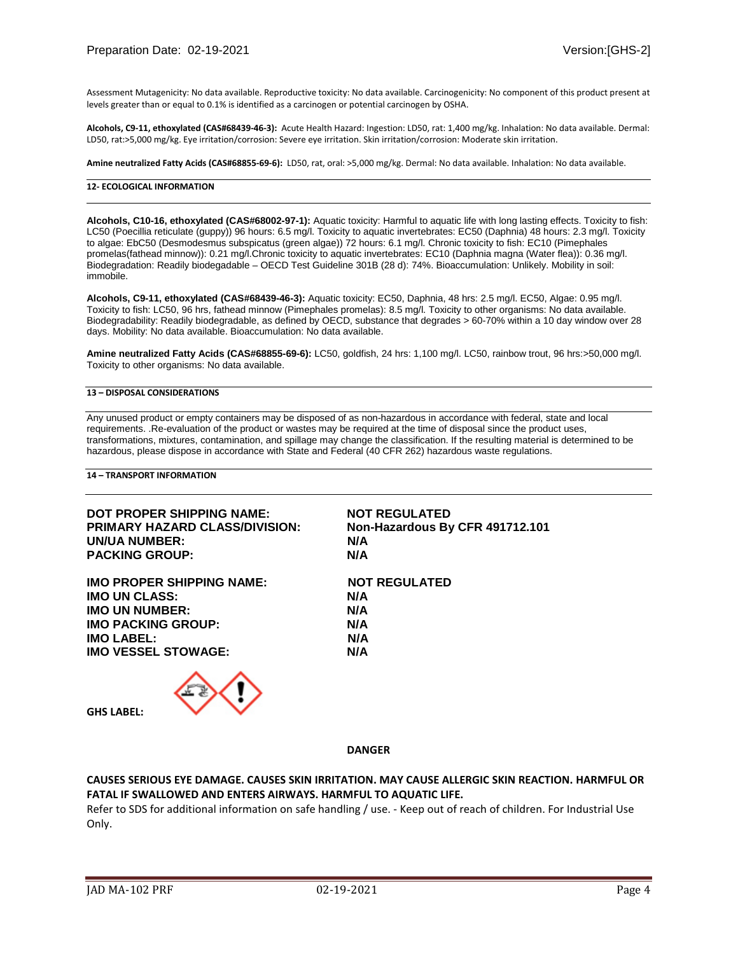Assessment Mutagenicity: No data available. Reproductive toxicity: No data available. Carcinogenicity: No component of this product present at levels greater than or equal to 0.1% is identified as a carcinogen or potential carcinogen by OSHA.

**Alcohols, C9-11, ethoxylated (CAS#68439-46-3):** Acute Health Hazard: Ingestion: LD50, rat: 1,400 mg/kg. Inhalation: No data available. Dermal: LD50, rat:>5,000 mg/kg. Eye irritation/corrosion: Severe eye irritation. Skin irritation/corrosion: Moderate skin irritation.

**Amine neutralized Fatty Acids (CAS#68855-69-6):** LD50, rat, oral: >5,000 mg/kg. Dermal: No data available. Inhalation: No data available.

### **12- ECOLOGICAL INFORMATION**

**Alcohols, C10-16, ethoxylated (CAS#68002-97-1):** Aquatic toxicity: Harmful to aquatic life with long lasting effects. Toxicity to fish: LC50 (Poecillia reticulate (guppy)) 96 hours: 6.5 mg/l. Toxicity to aquatic invertebrates: EC50 (Daphnia) 48 hours: 2.3 mg/l. Toxicity to algae: EbC50 (Desmodesmus subspicatus (green algae)) 72 hours: 6.1 mg/l. Chronic toxicity to fish: EC10 (Pimephales promelas(fathead minnow)): 0.21 mg/l.Chronic toxicity to aquatic invertebrates: EC10 (Daphnia magna (Water flea)): 0.36 mg/l. Biodegradation: Readily biodegadable – OECD Test Guideline 301B (28 d): 74%. Bioaccumulation: Unlikely. Mobility in soil: immobile.

**Alcohols, C9-11, ethoxylated (CAS#68439-46-3):** Aquatic toxicity: EC50, Daphnia, 48 hrs: 2.5 mg/l. EC50, Algae: 0.95 mg/l. Toxicity to fish: LC50, 96 hrs, fathead minnow (Pimephales promelas): 8.5 mg/l. Toxicity to other organisms: No data available. Biodegradability: Readily biodegradable, as defined by OECD, substance that degrades > 60-70% within a 10 day window over 28 days. Mobility: No data available. Bioaccumulation: No data available.

**Amine neutralized Fatty Acids (CAS#68855-69-6):** LC50, goldfish, 24 hrs: 1,100 mg/l. LC50, rainbow trout, 96 hrs:>50,000 mg/l. Toxicity to other organisms: No data available.

## **13 – DISPOSAL CONSIDERATIONS**

Any unused product or empty containers may be disposed of as non-hazardous in accordance with federal, state and local requirements. .Re-evaluation of the product or wastes may be required at the time of disposal since the product uses, transformations, mixtures, contamination, and spillage may change the classification. If the resulting material is determined to be hazardous, please dispose in accordance with State and Federal (40 CFR 262) hazardous waste regulations.

**14 – TRANSPORT INFORMATION**

| DOT PROPER SHIPPING NAME:<br><b>PRIMARY HAZARD CLASS/DIVISION:</b><br>UN/UA NUMBER:<br><b>PACKING GROUP:</b> | <b>NOT REGULATED</b><br>Non-Hazardous By CFR 491712.101<br>N/A<br>N/A |
|--------------------------------------------------------------------------------------------------------------|-----------------------------------------------------------------------|
| <b>IMO PROPER SHIPPING NAME:</b>                                                                             | <b>NOT REGULATED</b>                                                  |
| <b>IMO UN CLASS:</b>                                                                                         | N/A                                                                   |
| <b>IMO UN NUMBER:</b>                                                                                        | N/A                                                                   |
| <b>IMO PACKING GROUP:</b>                                                                                    | N/A                                                                   |
| <b>IMO LABEL:</b>                                                                                            | N/A                                                                   |
| <b>IMO VESSEL STOWAGE:</b>                                                                                   | N/A                                                                   |
|                                                                                                              |                                                                       |

**GHS LABEL:**

**DANGER**

# **CAUSES SERIOUS EYE DAMAGE. CAUSES SKIN IRRITATION. MAY CAUSE ALLERGIC SKIN REACTION. HARMFUL OR FATAL IF SWALLOWED AND ENTERS AIRWAYS. HARMFUL TO AQUATIC LIFE.**

Refer to SDS for additional information on safe handling / use. - Keep out of reach of children. For Industrial Use Only.